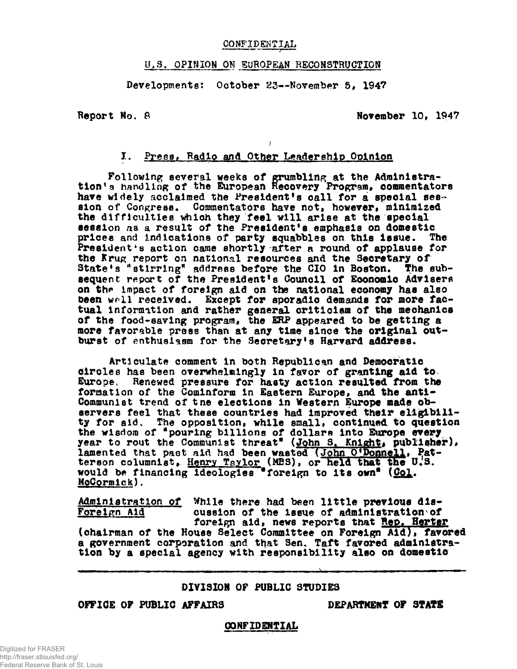# **COMFIDSiNTIAL**

# **U.S. OPINION ON EUROPEAN RECONSTRUCTION**

Developments: October 23--November 5, 1947

**Report No. 8** November 10, 1947

# **I. Pyes8> Radio and Other Leadership Opinion**

**i**

Following several weeks of grumbling at the Administration<sup>1</sup>**3** handling of the European Recovery Program, commentators have widely acclaimed the President's call for a special session of Congress. Commentators have not, however, minimized **the difficulties which they feel will arise at the special session as a result of the Presidents emphasis on domestic prices and indications of party squabbles on this Issue. The President's action came shortly after a round of applause for the Krug report on national resources and the Secretary of** State's <sup>"</sup>stirring" address before the CIO in Boston. The subsequent report of the President's Council of Economic Advisers on the impact of foreign aid on the national economy has also been well received. Except for sporadic demands for more fac**tual Information and rather general criticism of the mechanics of the food-saving program, the ERP appeared to be getting a more favorable press than at any time since the original out**burst of enthusiasm for the Secretary's Harvard address.

**Articulate comment in both Republican and Democratic circles has been overwhelmingly In favor of granting aid to Europe, Renewed pressure for hasty action resulted from the** formation of the Cominform in Eastern Europe, and the anti-**Communist trend of tne elections in Western Europe made observers feel that these countries had improved their eligibili**ty for aid. The opposition, while small, continued to question **the wisdom of "pouring billions of dollars into Europe every** year to rout the Communist threat" (John S. Knight, publisher), lamented that past aid had been wasted (John O'Donnell, Pat**terson columnist, Henry Taylor (MBS), or held that the U.S. would be financing Ideologies "foreign to its own" (Coj. McCormlek),**

**Administration of While there had been little previous dis-<br>Foreign Aid aussion of the issue of administration of** cussion of the issue of administration of foreign aid, news reports that **Rep. Here** (chairman of the House Select Committee on Foreign Ald), favored **a government corporation and that Sen. Taft favored administration by a special agency with responsibility also on domestic**

### **DIVISION OF PUBLIC STUDIES**

# **OFFICE OF PUBLIC AFFAIRS DEPARTMENT OF STATE**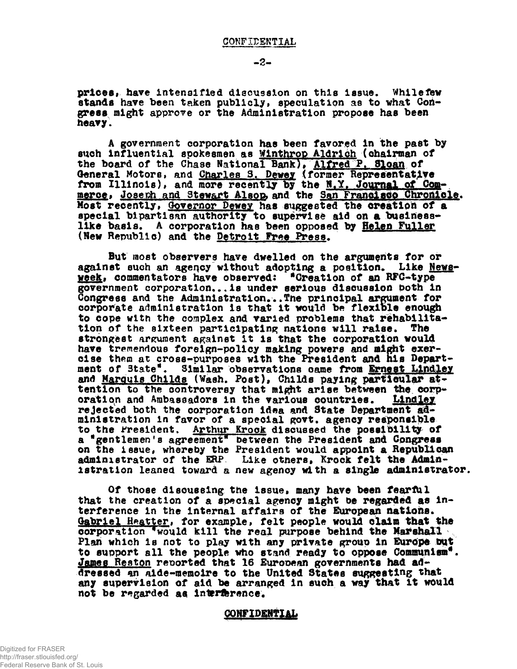prices, have intensified discussion on this issue. While few stands have been taken publicly, speculation as to what Con**gress might approve or the Administration propose has been heavy.**

**A government corporation has been favored In the past by such Influential spokesmen as Wlnthrop Aldr1ch (chairman of the board of the Chase National Bank)> Alfred P» S^oan of General Motors, and Charles S. Dewey (former Representative** from Illinois), and more recently by the N.Y. Journal of Commerce, Joseph and Stewart Alsop, and the San Francisco Chronicle. **Most recently, Governor Pewey has suggested the creation of a special bipartisan authority to supervise aid on a business**like basis. A corporation has been opposed by Helen Fuller **(New Republic) and the Detroit Free Press.**

**But most observers have dwelled on the arguments for or** against such an agency without adopting a position. Like News**week, commentators have observed: ^Creation of an RFC-type government corporation\*..Is under serious discussion both in Congress and the Administration.••Tne principal argument for corporate administration Is that it would be flexible enough to cope with the complex and varied problems that rehabilitation of the sixteen participating nations will raise. The strongest argument against it is that the corporation would have tremendous foreign-policy making powers and might exercise them at cross-purposes with the President and his Department of 3tate\*. Similar observations came from Ernest Llndley and Marquis ChiIds (Wash, Post), ChiIds paying particular at**tention to the controversy that might arise between the corp**oration and Ambassadors in the various countries. Llndley rejected both the corporation idea and State Department administration in favor of a special govt. agency responsible** to the Fresident. Arthur Krock discussed the possibility of a "gentlemen's agreement" between the President and Congress **on the issue, whereby the President would appoint a Republican administrator of the ERP Like otners, Krock felt the Administration leaned toward a new agency with a single administrator.**

**Of those discussing the issue, many have been feartUl that the creation of a special agency might be regarded as interference in the Internal affairs of the European nations\*** Gabriel Heatter, for example, felt people would claim that the **corporation \* would kill the real purpose behind the Marshall Plan which is not to play with any private group In Europe Dut to support all the people who stand ready to oppose Communism<sup>11</sup>.** James Reston reported that 16 European governments had ad**dressed an aide-memoire to the United States suggesting that any supervision of aid be arranged In such a way that It would not be regarded aq interference,**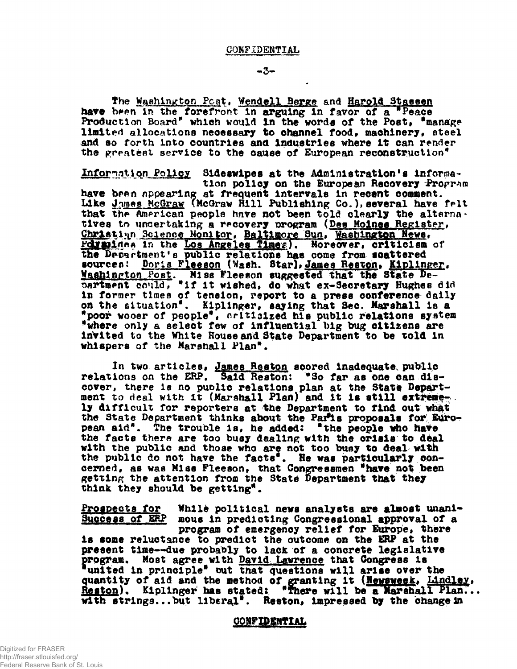$-3-$ 

The Washington Post, Wendell Berge and Harold Stassen have been in the forefront in arguing in favor of a "Peace Production Board<sup>\*</sup> which would in the words of the Post, <sup>\*</sup>manage limited allocations necessary to channel food, machinery, steel **and so forth Into countries and Industries where It can render** the greatest service to the cause of European reconstruction<sup>\*</sup>

Information Policy Sideswipes at the Administration's information policy on the European Recovery Propram **have bran appearing at frequent Intervale In recant comment,** Like Junes McGraw (McGraw Hill Publishing Co.), several have felt that the American people have not been told clearly the alternatives to undertaking a recovery program (Des Moines Register, Christian Science Monitor, Baltimore Sun, Washington News, **Fdvaines in the Los Angeles Times). Moreover, criticism of the Drcartroent's public relations has come from ioattered** sourcen: Doris Fleeson (Wash. Star), James Reston, Kiplinger. **Washington Post.** Miss Fleeson suggested that the State Department could, "if it wished, do what ex-Secretary Hughes did **In former times of tension, report to a press conference dally** on the situation<sup>d</sup>. Kiplinger, saying that Sec. Marshall is a **•poor wooer of people\*# criticised hla public relations system •where only a select few of Influential big bug citizens are Invited to the White Rouse and State Department to be told In whispers of the Marshall Plan".**

**In two articles, James Reaton scored inadequate public relations on the ERP# Said Reston: \*So far as one can discover, there is no puolic relations plan at the State Department to deal with It (Marshall Plan) and It la still extreme**ly difficult for reporters at the Department to find out what the State Department thinks about the Par<sup>9</sup>is proposals for Euro**pean aid\*. The trouble la, he added: "the people who have** the facts there are too busy dealing with the orisis to deal **with the public and those who are not too busy to deal with** the public do not have the facts<sup>"</sup>. He was particularly con**cerned, as was Ml as Fleeson, that Congressmen •have not been getting the attention from the State Department that they think they should be getting<sup>11</sup>.**

**Progpecta for While political news analysts are almost unanl-Success of ERP mous In predicting Congressional approval of a program of emergency relief for Europe, there Is tome reluctance to predict the outcome on the ERP at the present time—due probably to lack of a concrete legislative** program. Most agree with <u>David Lawrence</u> that Congress is **"united In principle<sup>11</sup> out that questions will arise over the quantity of aid and the method of granting It (Kewsweek, Llndlqy» Reston). Kipilnger has stated: \*fhere will be a Marshall Plan.\* with 8trlnga...but liberal\*. Reston, Impressed by the change in**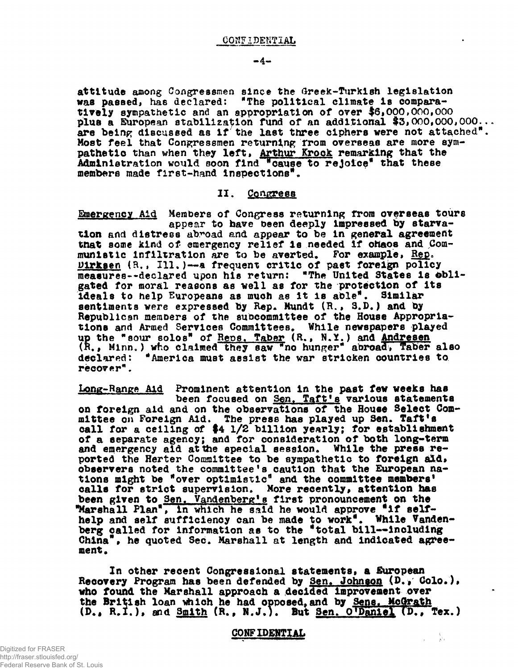**attitude among Congressmen since the Greek-Turkish legislation was passed, has declared: \*The political climate Is comparatively sympathetic and an appropriation of over #6,000,000,000** plus a European stabilization fund of an additional \$3,000,000,000... are being discussed as if the last three ciphers were not attached<sup>"</sup>. **Most feel that Congressmen returning from overseas are more sympathetic than when they left, Arthur Krock remarking that the Administration would soon find "cause to rejoice\* that these members made first-hand Inspections<sup>11</sup> .**

#### **II. Congress**

**Emergency Aid Members of Congress returning from overseas tours appear to have been deeply Impressed by starvation and distress abroad and appear to be In general agreement tnat some kind of emergency relief Is needed If ohaos and Communistic Infiltration are to be averted\* For example, Rep. Dirksen (R,» 111.)-—a frequent critic of past foreign policy measures-•declared upon his return: "The United States is obligated for moral reasons as well as for the protection of Its ideals to help Europeans as much as It is able\*. Similar sentiments were expressed by Rep. Mundt (R., 3.D.) and by** Republican members of the subcommittee of the House Appropriations and Armed Services Committees. While newspapers played **up the "sour solos" of Reps. Taber (R.\$ N.Y.) and Andresen (R. f Minn\*) who claimed they saw "no hunger" abroad, Taber also declared: "America must assist the war stricken countries to recover"**

**Long-Range Aid Prominent attention in the past few weeks hap been focused on Sen, Taft's various statements on foreign aid and on the observations of the House Select Committee on Foreign Aid. The press has played up Sen. Taft<sup>f</sup>s** call for a ceiling of \$4 1/2 billion yearly; for establishment **of a separate agency; and for consideration of both long-term** and emergency aid at the special session. While the press reported the Herter Committee to be sympathetic to foreign ald. **observers noted the committee's caution that the European nations might be "over optimist 1c<sup>11</sup> and the committee members<sup>9</sup>** calls for strict supervision. More recently, attention has been given to Sen, Vandenberg's first pronouncement on the **"Marshall Flan", In which he said he would approve \*lf selfhelp and self sufficiency can be made to work\*. While Vanden**berg called for information as to the "total bill--including China", he quoted Sec. Marshall at length and indicated agree**ment o**

**In other recent Congressional statements, a European** Recovery Program has been defended by <u>Sen. Johnson</u> (D., Colo.), **who found the Marshall approach a decided Improvement over** the British loan which he had opposed, and by Sens. McGrath **(D., R.I.), and Smith (R., N.J.). But <u>Sen. O'Daniel</u> (D., Tex.)** 

#### **CONFIDENTIAL**

 $\mathcal{L} = \frac{1}{2} \mathcal{L}$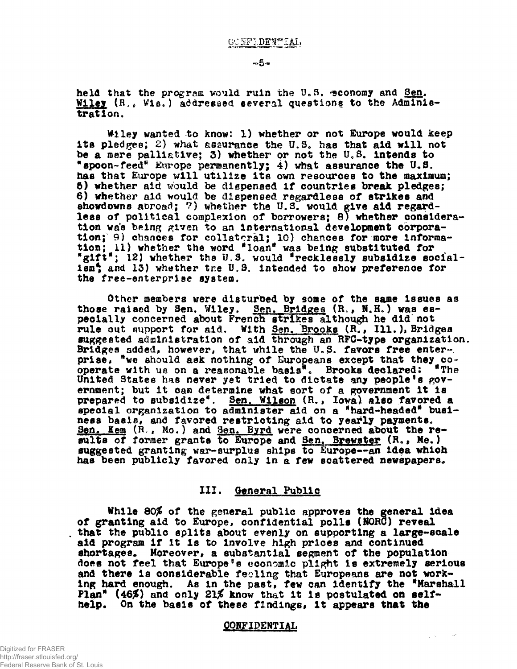held that the program would ruin the U.S. sconomy and Sen. Wiley (R., Wis.) addressed several questions to the Adminis**tration,**

**VUley wanted to know! 1) whether or not Europe would keep** its pledges; 2) what assurance the U.S. has that aid will not be a mere palliative; 3) whether or not the U.S. intends to \*spoon-feed<sup>\*</sup> Europe permanently; 4) what assurance the U.S. **has that Europe will utilize its own resources to the maximum; 5) whether aid would be dispensed if countries break pledges; 6) whether aid would be dispensed regardless of strikes and showdowns abroad; 7) whether the U.S. would give aid regardless of political complexion of borrowers; 8) whether considera**tion was being given to an international development corporation; 9) chances for collateral; 10) chances for more informa**tion; 11) whether the word 'loan\* was being substituted for** "gift"; 12) whether the U.S. would "recklessly subsidize socialism<sup>4</sup> and 13) whether tr.e U.S. intended to show preference for **the free-enterprise system,**

**Other members were disturbed by some of the same issues as** those raised by Sen. Wiley. Sen. Bridges (R., N.H.) was es**pecially concerned about French strikes although he did not** rule out aupport for aid. With Sen, Brooks (R., Ill.), Bridges **suggested administration of aid through an RFC-type organisation.** Bridges added, however, that while the U.S. favors free enterprise, "we should ask nothing of Europeans except that they co**operate with us on a reasonable basis". Brooks declared: "The operate with us on a reasonable basis". Brooks declared: "The United States has never yet tried to dictate any people's government; but It can determine what sort of a government it Is prepared to subsidize\*. Sen. Wilson (R.» Iowa) also favored a** special organization to administer aid on a "hard-headed" busi**ness basis, and favored restricting aid to yearly payments.** Sen. Kem (R., Mo.) and Sen. Byrd were concerned about the results of former grants to Europe and Sen. Brewster (R., Me.) **suggested granting war-surplus ships to Europe—an idea which has been publicly favored only in a few scattered newspapers.**

### **III. General Public**

**While 80# of the general public approves the general idea of granting aid to Europe, confidential polls (NORC) reveal that the public splits about evenly on supporting a large-scale aid program if it is to Involve high prices and continued shortages. Moreover, a substantial segment of the population does not feel that Europe's economic plight is extremely serious and there is considerable feeling that Europeans are not working hard enough. As in the past, few can Identify the •Marshall** Plan<sup>®</sup> (46%) and only 21% know that it is postulated on self**help. On the basis of these findings, it appears that the**

#### **CONFIDENTIAL**

**Contractor**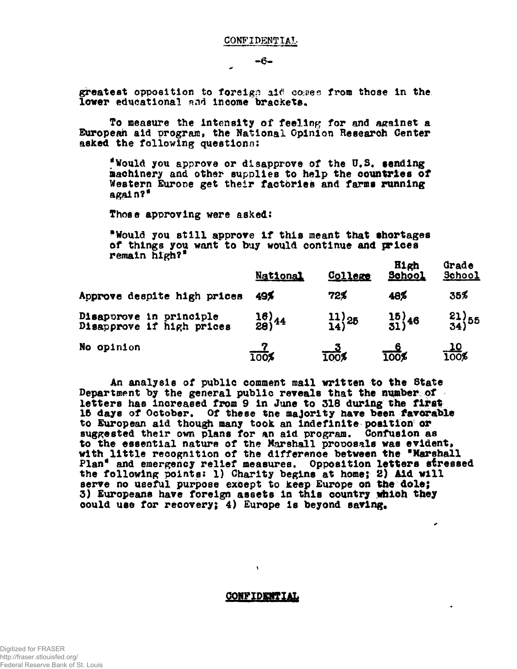$-6-$ 

greatest opposition to foreign aid comes from those in the **lower** educational and income brackets.

**To measure the intensity of feeling for and against a European aid program. the National Opinion Research Center asked the following questions;**

**\*Would you approve or disapprove of the U\*S# sending machinery and other supplies to help the countries of Western Eurone get their factories and farms running again?\***

**Those approving were asked:**

**<sup>11</sup> Would you still approve If this meant that shortages of things you want to buy would continue and prices remain high?\***

|                                                      | <b>National</b>               | College            | H1gh<br><b>School</b> | Grade<br>School    |
|------------------------------------------------------|-------------------------------|--------------------|-----------------------|--------------------|
| Approve despite high prices                          | 49%                           | 72%                | 48%                   | 35%                |
| Disaporove in principle<br>Disapprove if high prices | $\frac{16}{28}$ <sup>44</sup> | $\frac{11}{14}$ 25 | $\frac{15}{31}$ 46    | $\frac{21}{34}$ 55 |
| No opinion                                           | $\frac{7}{100}$               | -- 2<br>100%       | $\frac{6}{100}$       | $\frac{10}{100\%}$ |

**An analysis of public comment mall written to the State Department by the general public reveals that the number of letters has increased from 9 in June to 313 during the first** 15 days of October. Of these tne majority have been favorable **to European aid though many took an Indefinite position or suggested their own plans for an aid program. Confusion as to the essential nature of the Marshall proposals was evldent<sup>t</sup> with little recognition of the difference between the "Marshall Plan<sup>19</sup> and emergency relief measures. Opposition letters stressed the following points: 1) Charity begins at home; 2) Aid will serve no useful purpose except to keep Europe on the dole; 3) Europeans have foreign assets in this country which they could use for recovery; 4) Europe Is beyond saving\***

٠

#### **CONFIDENTIAL**

 $\mathbf{v}$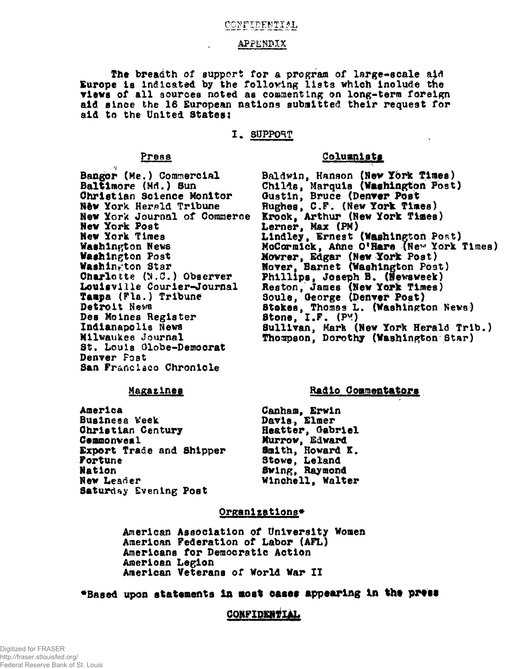# <u>CONFIDENTIAL</u>

#### **APPfcNPXX**

**The breadth of support for a program of large-scale aid** Europe is indicated by the following lists which include the **•lews of all sources noted as commenting on long-term foreign aid since the 16 European nations submitted their request for aid to the United States;**

#### **1. SUPPOHT**

**Bangor (Me.) Commercial Baltimore (Md.) Sun Christian Science Monitor Hfew York Herald Tribune New York Journal of Commerce New York Post Mew York Times Washington News Washington Post Washington Star** Charlotte (N.C.) Observer **Louisville Courier-Journal Taapa (Pla.) Tribune Detroit Nevm Des Moines Register Indianapolis News Milwaukee Journal St. Loula Globe-Democrat Denver Post San Franclaco Chronicle**

# **Press Columnists**

Baldwin, Hanson (New York Times) Childs, Marquis (Washington Post) **Gustin, Bruce (Denver Post** Hughes, C.F. (New York Times) **Krock, Arthur (New York Tines) Lerner, Max (PM)** Lindley, Ernest (Washington Post) **McCormick, Aftne O<sup>f</sup>larii (Ne^ York Times) Movrer, Edgar (New York Post) Hoverf Barnet (Washington Post) Phillips, Joseph B. (Newsweek) Reston, James (New York Times) Soule, George (Denver Post) Stakes, Thomas L. (Washington News) Stone, I.F. (PM) Sullivan, Mark (New York Herald Trib.) Thotapson, Dorothy (Washington Star)**

#### **Magazines**

**America Business Week Christian Century Cammonveal Export Trade and Shipper Fortune Nation New Leader Saturday Evening Post**

### **Radio Coamentators**

**Canham, Erwin Davis, Elmer Heatter, Gabriel Murrow, Edward Smith, Howard K. Stove, Leland Swing, Raymond Wlnchell, Walter**

#### **Organisations\***

**American Association of University Women American Federation of Labor (AFL) Americans for Democratic Action American Legion American Veterans of World War II**

# **"Based upon statements in moat cases appearing In tht prtss**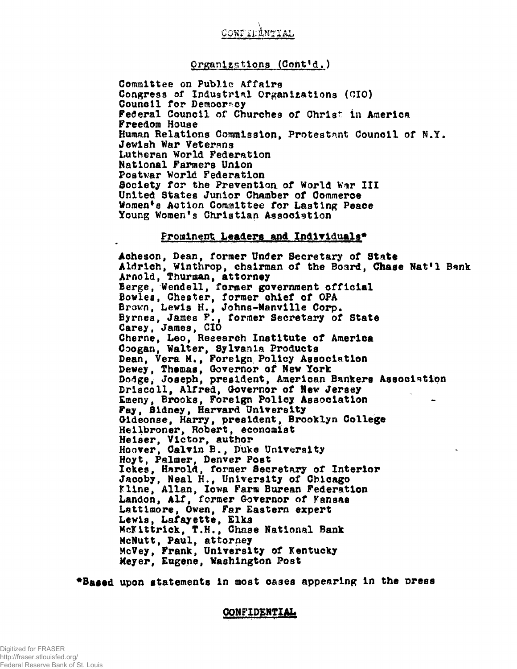

### **Organisations (Coht'd.)**

**Committee on Public Affairs Congress of Industrial Organizations (CIO) Council for Democracy Federal Council of Churches of Christ in America Freedom House Human Relations Commission, Protestant Council of N.Y\* Jewish War Veterans Lutheran World Federation National Farmers Union Postwar World Federation** Society for the Prevention of World War III **United States Junior Chamber of Commerce Women<sup>1</sup>s Action Committee for Lasting Peace Young Women<sup>1</sup>s Christian Association**

#### **Prominent Leaders and Individuals\***

**Acheson, Dean, former Under Secretary of State** Aldrich, Winthrop, chairman of the Board, Chase Nat<sup>1</sup>1 Bank **Arnold, Thurman, attorney Berge, Wendell, former government official Bowles, Chester, former chief of OPA Brown, Lewis H.9 Johns-Manvllle Corp\* Byrnes, James F., former Secretary of State Carey, James, CIO Cherne, Leo, Research Institute of America Coogan, Walter, Sylvanla Products Dean, Vera M\*f Foreign Policy Association Dewey, Themas, Governor of New York Dodge, Joseph, president, American Bankers Association Driacoll, Alfred, Governor of Hew Jersey Emeny, Brooks, Foreign Policy Association Fay, 81dney, Harvard University Gideonse, Harry, president, Brooklyn College Hellbroner, Robert, economist Helser, Victor, author Hoover, Calvin B., Duke University Hoyt, Palmer, Denver Post Iekes, Harold, former Secretary of Interior Jacoby, Neal H., University of Chicago Kline, Allan, Iowa Farm Burean Federation Landon, Alf, former Governor of Kansas Lattlmore, Owen, Far Eastern expert** Lewis, Lafayette, Bias<br>Mott<del>trial C</del>N Choo **McKlttrlck, T.H., Chase National Bank McNutt, Paul, attorney McVey, Frank, University of Kentucky Meyer, Eugene, Washington Post**

\*Based upon statements in most cases appearing in the press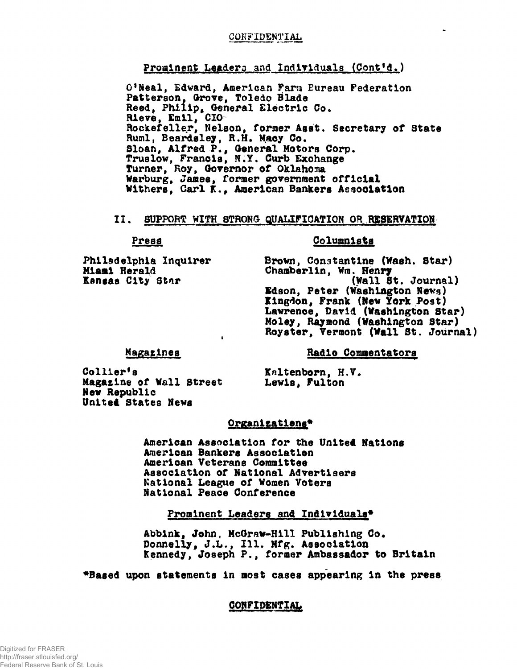# CONFIDENTIAL

# Prominent Leaders and Individuals (Cont'd.)

O'Neal, Edward, American Farm Bureau Federation Patterson, Grove, Toledo Blade<br>Reed, Philip, General Electric Co.<br>Rieve, Emil, CIO-<br>Rockefeller, Nelson, former Asst. Secretary of State Ruml, Beardsley, R.H. Macy Co. Sloan, Alfred P., General Motors Corp. Truslow, Francis, N.Y. Curb Exchange Turner, Roy, Governor of Oklahoma Warburg, James, former government official Withers, Carl K., American Bankers Association

#### II. **11.** SUPPORT WITH STRONG QUALIFICATION OR RESERVATION

#### Press

# <u>Columnists</u>

Philadelphia Inquirer Miami Herald Kansas City Star

Brown, Constantine (Wash. Star) Chamberlin, Wm. Henry (Wall St. Journal) Edson, Peter (Washington News) Kingdon, Frank (New York Post) Lawrence, David (Washington Star) Moley, Raymond (Washington Star) Royster, Vermont (Wall St. Journal)

# Magazines

Radio Commentators

Collier's Magazine of Wall Street New Republic United States News

Kaltenborn, H.V. Lewis, Fulton

# Organizations\*

American Association for the United Nations American Bankers Association American Veterans Committee Association of National Advertisers National League of Women Voters National Peace Conference

Prominent Leaders and Individuals\*

Abbink, John, McGraw-Hill Publishing Co. Donnelly, J.L., Ill. Mfg. Association Kennedy, Joseph P., former Ambassador to Britain

"Based upon statements in most cases appearing in the press